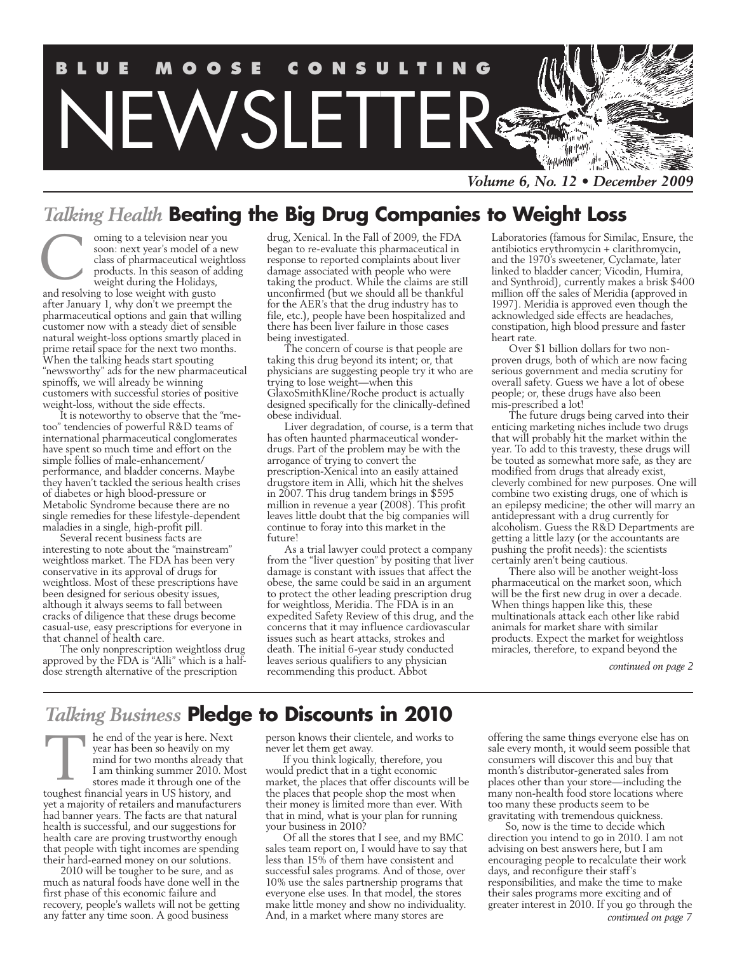

*Volume 6, No. 12 • December 2009*

## *Talking Health* **Beating the Big Drug Companies to Weight Loss**

oming to a television near you soon: next year's model of a new class of pharmaceutical weightloss products. In this season of adding weight during the Holidays, C

and resolving to lose weight with gusto after January 1, why don't we preempt the pharmaceutical options and gain that willing customer now with a steady diet of sensible natural weight-loss options smartly placed in prime retail space for the next two months. When the talking heads start spouting "newsworthy" ads for the new pharmaceutical spinoffs, we will already be winning customers with successful stories of positive weight-loss, without the side effects.

It is noteworthy to observe that the "metoo" tendencies of powerful R&D teams of international pharmaceutical conglomerates have spent so much time and effort on the simple follies of male-enhancement/ performance, and bladder concerns. Maybe they haven't tackled the serious health crises of diabetes or high blood-pressure or Metabolic Syndrome because there are no single remedies for these lifestyle-dependent maladies in a single, high-profit pill.

Several recent business facts are interesting to note about the "mainstream" weightloss market. The FDA has been very conservative in its approval of drugs for weightloss. Most of these prescriptions have been designed for serious obesity issues, although it always seems to fall between cracks of diligence that these drugs become casual-use, easy prescriptions for everyone in that channel of health care.

The only nonprescription weightloss drug approved by the FDA is "Alli" which is a halfdose strength alternative of the prescription

drug, Xenical. In the Fall of 2009, the FDA began to re-evaluate this pharmaceutical in response to reported complaints about liver damage associated with people who were taking the product. While the claims are still unconfirmed (but we should all be thankful for the AER's that the drug industry has to file, etc.), people have been hospitalized and there has been liver failure in those cases being investigated.

The concern of course is that people are taking this drug beyond its intent; or, that physicians are suggesting people try it who are trying to lose weight—when this GlaxoSmithKline/Roche product is actually designed specifically for the clinically-defined obese individual.

Liver degradation, of course, is a term that has often haunted pharmaceutical wonderdrugs. Part of the problem may be with the arrogance of trying to convert the prescription-Xenical into an easily attained drugstore item in Alli, which hit the shelves in 2007. This drug tandem brings in \$595 million in revenue a year (2008). This profit leaves little doubt that the big companies will continue to foray into this market in the future<sup>1</sup>

As a trial lawyer could protect a company from the "liver question" by positing that liver damage is constant with issues that affect the obese, the same could be said in an argument to protect the other leading prescription drug for weightloss, Meridia. The FDA is in an expedited Safety Review of this drug, and the concerns that it may influence cardiovascular issues such as heart attacks, strokes and death. The initial 6-year study conducted leaves serious qualifiers to any physician recommending this product. Abbot

Laboratories (famous for Similac, Ensure, the antibiotics erythromycin + clarithromycin, and the 1970's sweetener, Cyclamate, later linked to bladder cancer; Vicodin, Humira, and Synthroid), currently makes a brisk \$400 million off the sales of Meridia (approved in 1997). Meridia is approved even though the acknowledged side effects are headaches, constipation, high blood pressure and faster heart rate.

Over \$1 billion dollars for two nonproven drugs, both of which are now facing serious government and media scrutiny for overall safety. Guess we have a lot of obese people; or, these drugs have also been mis-prescribed a lot!

The future drugs being carved into their enticing marketing niches include two drugs that will probably hit the market within the year. To add to this travesty, these drugs will be touted as somewhat more safe, as they are modified from drugs that already exist, cleverly combined for new purposes. One will combine two existing drugs, one of which is an epilepsy medicine; the other will marry an antidepressant with a drug currently for alcoholism. Guess the R&D Departments are getting a little lazy (or the accountants are pushing the profit needs): the scientists certainly aren't being cautious.

There also will be another weight-loss pharmaceutical on the market soon, which will be the first new drug in over a decade. When things happen like this, these multinationals attack each other like rabid animals for market share with similar products. Expect the market for weightloss miracles, therefore, to expand beyond the

*continued on page 2*

## *Talking Business* **Pledge to Discounts in 2010**

he end of the year is here. Next year has been so heavily on my mind for two months already that I am thinking summer 2010. Most stores made it through one of the toughest financial years in US history, and yet a majority of retailers and manufacturers had banner years. The facts are that natural health is successful, and our suggestions for health care are proving trustworthy enough that people with tight incomes are spending their hard-earned money on our solutions. T

2010 will be tougher to be sure, and as much as natural foods have done well in the first phase of this economic failure and recovery, people's wallets will not be getting any fatter any time soon. A good business

person knows their clientele, and works to never let them get away.

If you think logically, therefore, you would predict that in a tight economic market, the places that offer discounts will be the places that people shop the most when their money is limited more than ever. With that in mind, what is your plan for running your business in 2010?

Of all the stores that I see, and my BMC sales team report on, I would have to say that less than 15% of them have consistent and successful sales programs. And of those, over 10% use the sales partnership programs that everyone else uses. In that model, the stores make little money and show no individuality. And, in a market where many stores are

offering the same things everyone else has on sale every month, it would seem possible that consumers will discover this and buy that month's distributor-generated sales from places other than your store—including the many non-health food store locations where too many these products seem to be gravitating with tremendous quickness.

So, now is the time to decide which direction you intend to go in 2010. I am not advising on best answers here, but I am encouraging people to recalculate their work days, and reconfigure their staff's responsibilities, and make the time to make their sales programs more exciting and of greater interest in 2010. If you go through the *continued on page 7*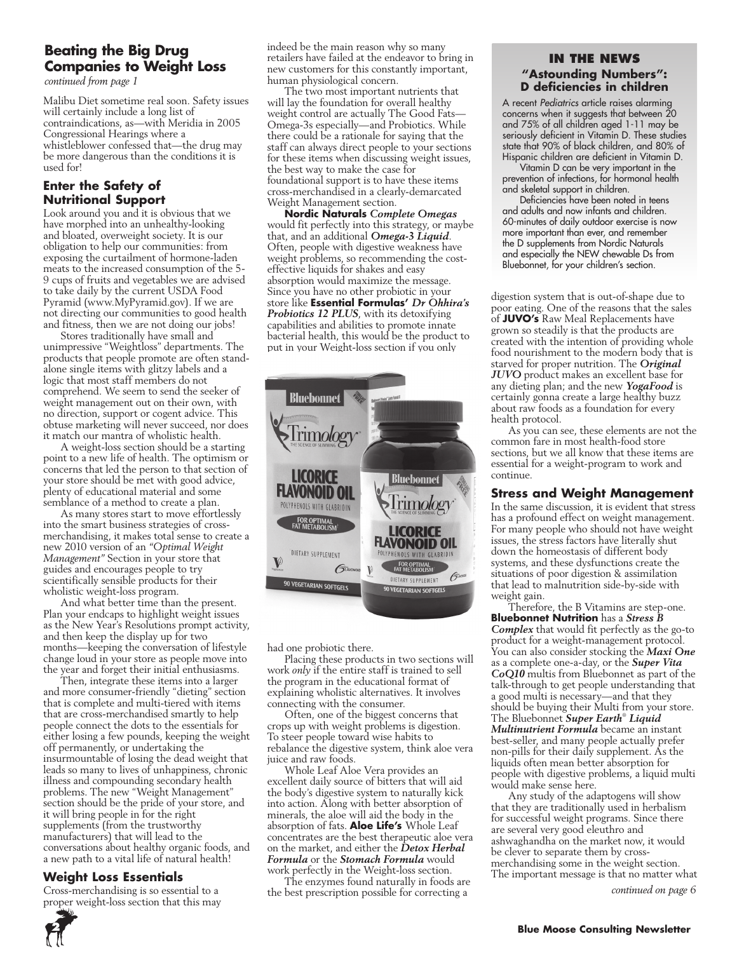## **Beating the Big Drug Companies to Weight Loss**

*continued from page 1*

Malibu Diet sometime real soon. Safety issues will certainly include a long list of contraindications, as—with Meridia in 2005 Congressional Hearings where a whistleblower confessed that—the drug may be more dangerous than the conditions it is used for!

#### **Enter the Safety of Nutritional Support**

Look around you and it is obvious that we have morphed into an unhealthy-looking and bloated, overweight society. It is our obligation to help our communities: from exposing the curtailment of hormone-laden meats to the increased consumption of the 5- 9 cups of fruits and vegetables we are advised to take daily by the current USDA Food Pyramid (www.MyPyramid.gov). If we are not directing our communities to good health and fitness, then we are not doing our jobs!

Stores traditionally have small and unimpressive "Weightloss" departments. The products that people promote are often standalone single items with glitzy labels and a logic that most staff members do not comprehend. We seem to send the seeker of weight management out on their own, with no direction, support or cogent advice. This obtuse marketing will never succeed, nor does it match our mantra of wholistic health.

A weight-loss section should be a starting point to a new life of health. The optimism or concerns that led the person to that section of your store should be met with good advice, plenty of educational material and some semblance of a method to create a plan.

As many stores start to move effortlessly into the smart business strategies of crossmerchandising, it makes total sense to create a new 2010 version of an *"Optimal Weight Management"* Section in your store that guides and encourages people to try scientifically sensible products for their wholistic weight-loss program.

And what better time than the present. Plan your endcaps to highlight weight issues as the New Year's Resolutions prompt activity, and then keep the display up for two months—keeping the conversation of lifestyle change loud in your store as people move into the year and forget their initial enthusiasms.

Then, integrate these items into a larger and more consumer-friendly "dieting" section that is complete and multi-tiered with items that are cross-merchandised smartly to help people connect the dots to the essentials for either losing a few pounds, keeping the weight off permanently, or undertaking the insurmountable of losing the dead weight that leads so many to lives of unhappiness, chronic illness and compounding secondary health problems. The new "Weight Management" section should be the pride of your store, and it will bring people in for the right supplements (from the trustworthy manufacturers) that will lead to the conversations about healthy organic foods, and a new path to a vital life of natural health!

#### **Weight Loss Essentials**

Cross-merchandising is so essential to a proper weight-loss section that this may indeed be the main reason why so many retailers have failed at the endeavor to bring in new customers for this constantly important, human physiological concern.

The two most important nutrients that will lay the foundation for overall healthy weight control are actually The Good Fats— Omega-3s especially—and Probiotics. While there could be a rationale for saying that the staff can always direct people to your sections for these items when discussing weight issues, the best way to make the case for foundational support is to have these items cross-merchandised in a clearly-demarcated Weight Management section.

**Nordic Naturals** *Complete Omegas*  would fit perfectly into this strategy, or maybe that, and an additional *Omega-3 Liquid*. Often, people with digestive weakness have weight problems, so recommending the costeffective liquids for shakes and easy absorption would maximize the message. Since you have no other probiotic in your store like **Essential Formulas'** *Dr Ohhira's Probiotics 12 PLUS*, with its detoxifying capabilities and abilities to promote innate bacterial health, this would be the product to put in your Weight-loss section if you only



had one probiotic there.

Placing these products in two sections will work *only* if the entire staff is trained to sell the program in the educational format of explaining wholistic alternatives. It involves connecting with the consumer.

Often, one of the biggest concerns that crops up with weight problems is digestion. To steer people toward wise habits to rebalance the digestive system, think aloe vera juice and raw foods.

Whole Leaf Aloe Vera provides an excellent daily source of bitters that will aid the body's digestive system to naturally kick into action. Along with better absorption of minerals, the aloe will aid the body in the absorption of fats. **Aloe Life's** Whole Leaf concentrates are the best therapeutic aloe vera on the market, and either the *Detox Herbal Formula* or the *Stomach Formula* would work perfectly in the Weight-loss section.

The enzymes found naturally in foods are the best prescription possible for correcting a

#### **In the News "Astounding Numbers": D deficiencies in children**

A recent *Pediatrics* article raises alarming concerns when it suggests that between 20 and 75% of all children aged 1-11 may be seriously deficient in Vitamin D. These studies state that 90% of black children, and 80% of Hispanic children are deficient in Vitamin D.

Vitamin D can be very important in the prevention of infections, for hormonal health and skeletal support in children.

Deficiencies have been noted in teens and adults and now infants and children. 60-minutes of daily outdoor exercise is now more important than ever, and remember the D supplements from Nordic Naturals and especially the NEW chewable Ds from Bluebonnet, for your children's section.

digestion system that is out-of-shape due to poor eating. One of the reasons that the sales of **JUVO's** Raw Meal Replacements have grown so steadily is that the products are created with the intention of providing whole food nourishment to the modern body that is starved for proper nutrition. The *Original JUVO* product makes an excellent base for any dieting plan; and the new *YogaFood* is certainly gonna create a large healthy buzz about raw foods as a foundation for every health protocol.

As you can see, these elements are not the common fare in most health-food store sections, but we all know that these items are essential for a weight-program to work and continue.

#### **Stress and Weight Management**

In the same discussion, it is evident that stress has a profound effect on weight management. For many people who should not have weight issues, the stress factors have literally shut down the homeostasis of different body systems, and these dysfunctions create the situations of poor digestion & assimilation that lead to malnutrition side-by-side with weight gain.

Therefore, the B Vitamins are step-one. **Bluebonnet Nutrition** has a *Stress B Complex* that would fit perfectly as the go-to product for a weight-management protocol. You can also consider stocking the *Maxi One* as a complete one-a-day, or the *Super Vita CoQ10* multis from Bluebonnet as part of the talk-through to get people understanding that a good multi is necessary—and that they should be buying their Multi from your store. The Bluebonnet *Super Earth*®  *Liquid Multinutrient Formula* became an instant best-seller, and many people actually prefer non-pills for their daily supplement. As the liquids often mean better absorption for people with digestive problems, a liquid multi would make sense here.

Any study of the adaptogens will show that they are traditionally used in herbalism for successful weight programs. Since there are several very good eleuthro and ashwaghandha on the market now, it would be clever to separate them by crossmerchandising some in the weight section. The important message is that no matter what *continued on page 6*

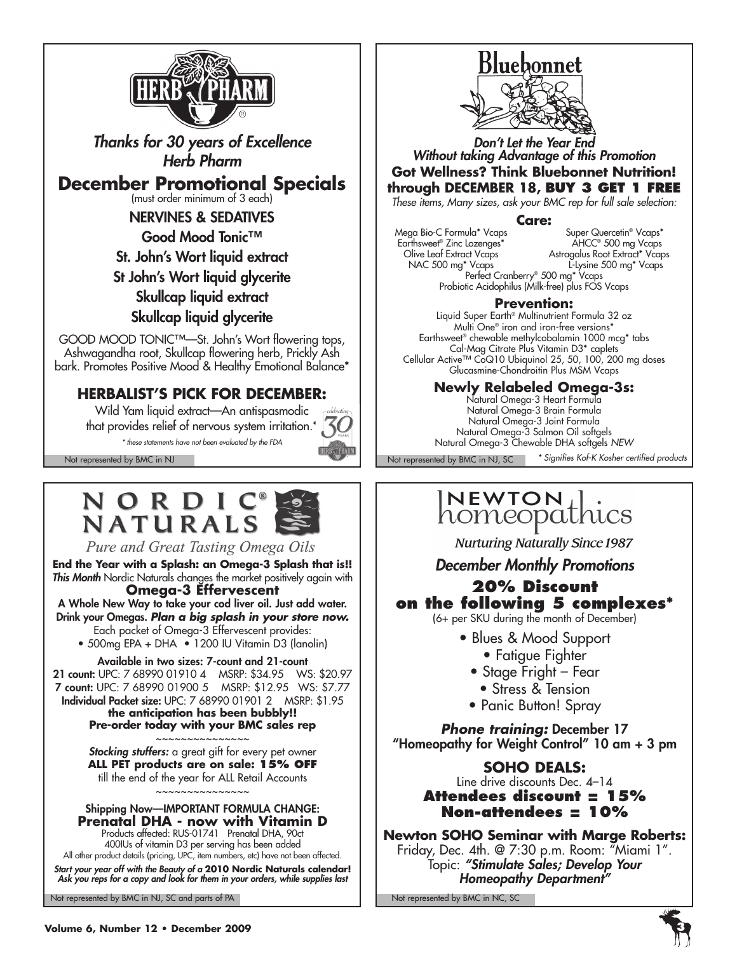

*Thanks for 30 years of Excellence Herb Pharm*

**December Promotional Specials** 

NERVINES & SEDATIVES

Good Mood Tonic<sup>™</sup>

St. John's Wort liquid extract

St John's Wort liquid glycerite Skullcap liquid extract Skullcap liquid glycerite

GOOD MOOD TONIC™—St. John's Wort flowering tops, Ashwagandha root, Skullcap flowering herb, Prickly Ash bark. Promotes Positive Mood & Healthy Emotional Balance\*

## **HERBALIST'S PICK FOR DECEMBER:**

Wild Yam liquid extract—An antispasmodic that provides relief of nervous system irritation.\* *\* these statements have not been evaluated by the FDA*

# **NORDIC**<br>NATURALS



**End the Year with a Splash: an Omega-3 Splash that is!!** *This Month* Nordic Naturals changes the market positively again with **Omega-3 Effervescent**

A Whole New Way to take your cod liver oil. Just add water. Drink your Omegas. *Plan a big splash in your store now.* Each packet of Omega-3 Effervescent provides:

• 500mg EPA + DHA • 1200 IU Vitamin D3 (lanolin)

#### Available in two sizes: 7-count and 21-count

21 count: UPC: 7 68990 01910 4 MSRP: \$34.95 WS: \$20.97 7 count: UPC: 7 68990 01900 5 MSRP: \$12.95 WS: \$7.77 Individual Packet size: UPC: 7 68990 01901 2 MSRP: \$1.95

**the anticipation has been bubbly!! Pre-order today with your BMC sales rep** ~~~~~~~~~~~~~~~

*Stocking stuffers:* a great gift for every pet owner **ALL PET products are on sale: 15% OFF** till the end of the year for ALL Retail Accounts ~~~~~~~~~~~~~~~

#### Shipping Now—IMPORTANT FORMULA CHANGE: **Prenatal DHA - now with Vitamin D**

Products affected: RUS-01741 Prenatal DHA, 90ct 400IUs of vitamin D3 per serving has been added All other product details (pricing, UPC, item numbers, etc) have not been affected.

*Start your year off with the Beauty of a* **2010 Nordic Naturals calendar!** *Ask you reps for a copy and look for them in your orders, while supplies last*

Not represented by BMC in NJ, SC and parts of PA Not represented by BMC in NC, SC



*Don't Let the Year End Without taking Advantage of this Promotion* **Got Wellness? Think Bluebonnet Nutrition! through DECEMBER 18, Buy 3 Get 1 FREE**

*These items, Many sizes, ask your BMC rep for full sale selection:*

#### **Care:**

Mega Bio-C Formula\* Vcaps Super Quercetin® Vcaps\* Earthsweet® Zinc Lozenges\* AHCC® 500 mg Vcaps Olive Leaf Extract Vcaps Astragalus Root Extract\* Vcaps NAC 500 mg\* Vcaps L-Lysine 500 mg\* Vcaps Perfect Cranberry® 500 mg\* Vcaps Probiotic Acidophilus (Milk-free) plus FOS Vcaps

#### **Prevention:**

Liquid Super Earth® Multinutrient Formula 32 oz Multi One® iron and iron-free versions\* Earthsweet® chewable methylcobalamin 1000 mcg\* tabs Cal-Mag Citrate Plus Vitamin D3\* caplets Cellular Active™ CoQ10 Ubiquinol 25, 50, 100, 200 mg doses Glucasmine-Chondroitin Plus MSM Vcaps

## **Newly Relabeled Omega-3s:**

Natural Omega-3 Heart Formula Natural Omega-3 Brain Formula Natural Omega-3 Joint Formula Natural Omega-3 Salmon Oil softgels Natural Omega-3 Chewable DHA softgels *NEW*

Not represented by BMC in NJ Not represented by BMC in NJ, SC Not represented by BMC in NJ, SC

*\* Signifies Kof-K Kosher certified products*

## $\overline{\mathsf{N}}$ EWTON homeopathics

**Nurturing Naturally Since 1987** 

*December Monthly Promotions*

## **20% Discount on the following 5 complexes\***

(6+ per SKU during the month of December)

- Blues & Mood Support
	- Fatigue Fighter
	- Stage Fright Fear
		- Stress & Tension
	- Panic Button! Spray

*Phone training:* December 17 "Homeopathy for Weight Control" 10 am + 3 pm

## **SOHO DEALS:**

Line drive discounts Dec. 4–14 **Attendees discount = 15% Non-attendees = 10%**

## **Newton SOHO Seminar with Marge Roberts:**  Friday, Dec. 4th. @ 7:30 p.m. Room: "Miami 1". Topic: *"Stimulate Sales; Develop Your Homeopathy Department"*

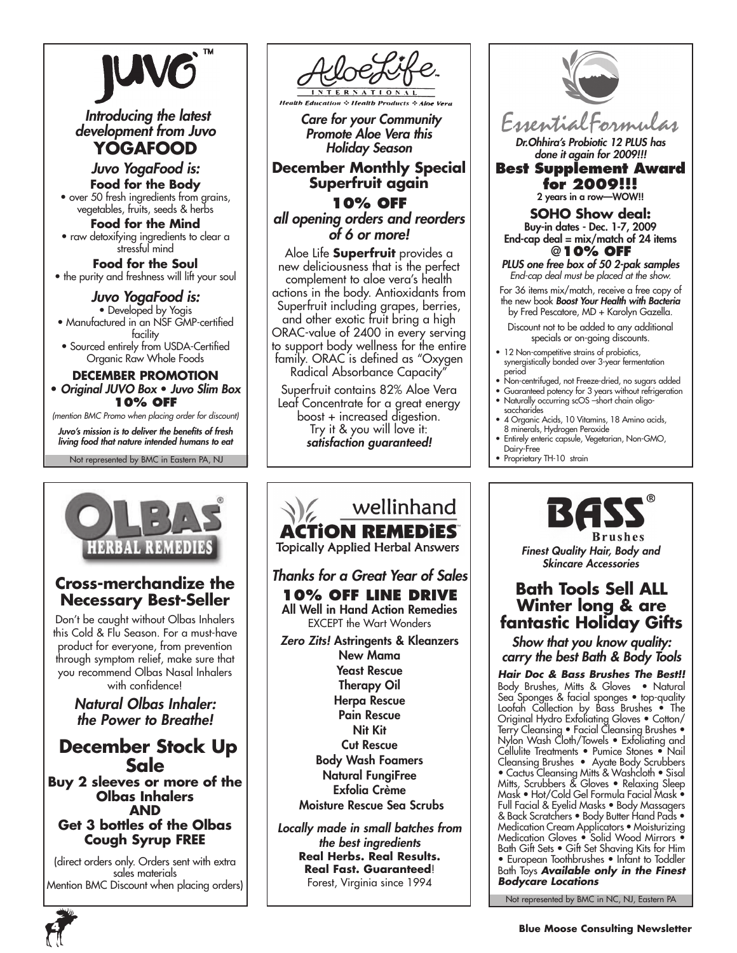

 *Introducing the latest development from Juvo* **YOGAFOOD**

*Juvo YogaFood is:* **Food for the Body**

• over 50 fresh ingredients from grains, vegetables, fruits, seeds & herbs

**Food for the Mind** • raw detoxifying ingredients to clear a stressful mind

**Food for the Soul** • the purity and freshness will lift your soul

## *Juvo YogaFood is:*

• Developed by Yogis • Manufactured in an NSF GMP-certified facility

• Sourced entirely from USDA-Certified Organic Raw Whole Foods

#### **December Promotion**

• *Original JUVO Box* • *Juvo Slim Box* **10% off**

*(mention BMC Promo when placing order for discount)*

Not represented by BMC in Eastern PA, NJ *Juvo's mission is to deliver the benefits of fresh living food that nature intended humans to eat*



## **Cross-merchandize the Necessary Best-Seller**

Don't be caught without Olbas Inhalers this Cold & Flu Season. For a must-have product for everyone, from prevention through symptom relief, make sure that you recommend Olbas Nasal Inhalers with confidence!

> *Natural Olbas Inhaler: the Power to Breathe!*

## **December Stock Up Sale Buy 2 sleeves or more of the**

**Olbas Inhalers AND Get 3 bottles of the Olbas Cough Syrup FREE**

(direct orders only. Orders sent with extra sales materials Mention BMC Discount when placing orders)



 *Care for your Community Promote Aloe Vera this Holiday Season*

**December Monthly Special Superfruit again 10% off**

*all opening orders and reorders of 6 or more!*

Aloe Life **Superfruit** provides a new deliciousness that is the perfect complement to aloe vera's health actions in the body. Antioxidants from Superfruit including grapes, berries, and other exotic fruit bring a high ORAC-value of 2400 in every serving to support body wellness for the entire family. ORAC is defined as "Oxygen Radical Absorbance Capacity"

Superfruit contains 82% Aloe Vera Leaf Concentrate for a great energy boost + increased digestion. Try it & you will love it: *satisfaction guaranteed!*

## wellinhand **ACTION REMEDIES Topically Applied Herbal Answers** *Thanks for a Great Year of Sales* **10% off Line Drive** All Well in Hand Action Remedies EXCEPT the Wart Wonders *Zero Zits!* Astringents & Kleanzers New Mama Yeast Rescue Therapy Oil Herpa Rescue Pain Rescue Nit Kit Cut Rescue Body Wash Foamers Natural FungiFree Exfolia Crème Moisture Rescue Sea Scrubs *Locally made in small batches from the best ingredients* **Real Herbs. Real Results.**

**Real Fast. Guaranteed**! Forest, Virginia since 1994



*Dr.Ohhira's Probiotic 12 PLUS has done it again for 2009!!!*

**Best Supplement Award for 2009!!!** 2 years in a row—WOW!!

**SOHO Show deal:** Buy-in dates - Dec. 1-7, 2009 End-cap deal =  $mix/match$  of 24 items @**10% off**

*PLUS one free box of 50 2-pak samples End-cap deal must be placed at the show.*

For 36 items mix/match, receive a free copy of the new book *Boost Your Health with Bacteria*  by Fred Pescatore, MD + Karolyn Gazella.

Discount not to be added to any additional specials or on-going discounts.

- 12 Non-competitive strains of probiotics, synergistically bonded over 3-year fermentation period
- Non-centrifuged, not Freeze-dried, no sugars added
- Guaranteed potency for 3 years without refrigeration • Naturally occurring scOS –short chain oligosaccharides
- 4 Organic Acids, 10 Vitamins, 18 Amino acids, 8 minerals, Hydrogen Peroxide
- Entirely enteric capsule, Vegetarian, Non-GMO, Dairy-Free
- Proprietary TH-10 strain



*Finest Quality Hair, Body and Skincare Accessories*

## **Bath Tools Sell ALL Winter long & are fantastic Holiday Gifts**

*Show that you know quality: carry the best Bath & Body Tools*

*Hair Doc & Bass Brushes The Best!!* Body Brushes, Mitts & Gloves • Natural Sea Sponges & facial sponges • top-quality Loofah Collection by Bass Brushes • The Original Hydro Exfoliating Gloves • Cotton/ Terry Cleansing • Facial Cleansing Brushes • Nylon Wash Cloth/Towels • Exfoliating and Cellulite Treatments • Pumice Stones • Nail Cleansing Brushes • Ayate Body Scrubbers • Cactus Cleansing Mitts & Washcloth • Sisal Mitts, Scrubbers & Gloves • Relaxing Sleep Mask • Hot/Cold Gel Formula Facial Mask • Full Facial & Eyelid Masks • Body Massagers & Back Scratchers • Body Butter Hand Pads • Medication Cream Applicators • Moisturizing Medication Gloves • Solid Wood Mirrors • Bath Gift Sets • Gift Set Shaving Kits for Him • European Toothbrushes • Infant to Toddler Bath Toys *Available only in the Finest Bodycare Locations*

Not represented by BMC in NC, NJ, Eastern PA

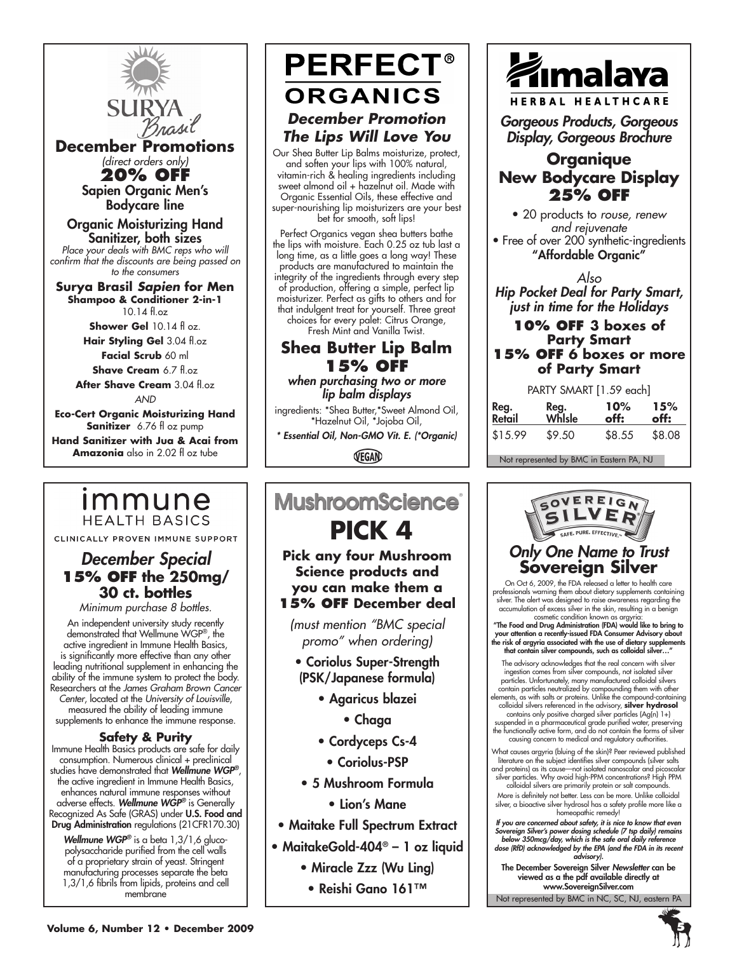

**December Promotions** *(direct orders only)*

**20% off** Sapien Organic Men's Bodycare line

#### Organic Moisturizing Hand Sanitizer, both sizes *Place your deals with BMC reps who will*

*confirm that the discounts are being passed on to the consumers*

**Surya Brasil** *Sapien* **for Men Shampoo & Conditioner 2-in-1** 10.14 fl.oz

**Shower Gel** 10.14 fl oz.

**Hair Styling Gel** 3.04 fl.oz **Facial Scrub** 60 ml

**Shave Cream** 6.7 fl.oz

**After Shave Cream** 3.04 fl.oz *and*

**Eco-Cert Organic Moisturizing Hand Sanitizer** 6.76 fl oz pump **Hand Sanitizer with Jua & Acai from Amazonia** also in 2.02 fl oz tube

## immune **HEALTH BASICS**

CLINICALLY PROVEN IMMUNE SUPPORT

## *December Special* **15% off the 250mg/ 30 ct. bottles**

*Minimum purchase 8 bottles.*

An independent university study recently demonstrated that Wellmune WGP®, the active ingredient in Immune Health Basics, is significantly more effective than any other leading nutritional supplement in enhancing the ability of the immune system to protect the body. Researchers at the *James Graham Brown Cancer Center*, located at the *University of Louisville*, measured the ability of leading immune supplements to enhance the immune response.

#### **Safety & Purity**

Immune Health Basics products are safe for daily consumption. Numerous clinical + preclinical studies have demonstrated that *Wellmune WGP®*, the active ingredient in Immune Health Basics, enhances natural immune responses without adverse effects. *Wellmune WGP®* is Generally Recognized As Safe (GRAS) under U.S. Food and Drug Administration regulations (21CFR170.30)

*Wellmune WGP®* is a beta 1,3/1,6 glucopolysaccharide purified from the cell walls of a proprietary strain of yeast. Stringent manufacturing processes separate the beta 1,3/1,6 fibrils from lipids, proteins and cell membrane

## **PERFECT® ORGANICS** *December Promotion The Lips Will Love You*

Our Shea Butter Lip Balms moisturize, protect, and soften your lips with 100% natural, vitamin-rich & healing ingredients including sweet almond oil + hazelnut oil. Made with Organic Essential Oils, these effective and super-nourishing lip moisturizers are your best bet for smooth, soft lips!

Perfect Organics vegan shea butters bathe the lips with moisture. Each 0.25 oz tub last a long time, as a little goes a long way! These products are manufactured to maintain the integrity of the ingredients through every step of production, offering a simple, perfect lip moisturizer. Perfect as gifts to others and for that indulgent treat for yourself. Three great choices for every palet: Citrus Orange, Fresh Mint and Vanilla Twist.

## **Shea Butter Lip Balm 15% off** *when purchasing two or more*

*lip balm displays*

ingredients: \*Shea Butter,\*Sweet Almond Oil, \*Hazelnut Oil, \*Jojoba Oil,

*\* Essential Oil, Non-GMO Vit. E. (\*Organic)*

VEGAN

## **MushroomScience**®  **PICK 4**

**Pick any four Mushroom Science products and you can make them a 15% off December deal**

*(must mention "BMC special promo" when ordering)*

- Coriolus Super-Strength (PSK/Japanese formula)
	- Agaricus blazei
		- Chaga
	- Cordyceps Cs-4
		- Coriolus-PSP
- 5 Mushroom Formula
	- Lion's Mane
- Maitake Full Spectrum Extract
- MaitakeGold-404® 1 oz liquid
	- Miracle Zzz (Wu Ling)
	- Reishi Gano 161™



HERBAL HEALTHCARE

*Gorgeous Products, Gorgeous Display, Gorgeous Brochure*

## **Organique New Bodycare Display 25% off**

• 20 products to *rouse, renew and rejuvenate* • Free of over 200 synthetic-ingredients

"Affordable Organic"

*Also Hip Pocket Deal for Party Smart, just in time for the Holidays*

#### **10% off 3 boxes of Party Smart 15% off 6 boxes or more of Party Smart**

|                   | PARTY SMART [1.59 each] |              |             |
|-------------------|-------------------------|--------------|-------------|
| Reg.              | Reg.<br>While           | 10%          | 15%         |
| n. <del>.</del> 1 |                         | - <b>.c.</b> | - <b>EE</b> |

| keg.    | κeg.   | $\mathbf{U}$ | 1 J 70 |
|---------|--------|--------------|--------|
| Retail  | Whlsle | off:         | off:   |
| \$15.99 | \$9.50 | \$8.55       | \$8.08 |

Not represented by BMC in Eastern PA, NJ



## **Sovereign Silver**

On Oct 6, 2009, the FDA released a letter to health care professionals warning them about dietary supplements containing silver. The alert was designed to raise awareness regarding the accumulation of excess silver in the skin, resulting in a benign

cosmetic condition known as argyria:<br>"The Food and Drug Administration (FDA) would like to bring to<br>your attention a recently-issued FDA Consumer Advisory about<br>the risk of argyria associated with the use of dietary supple

The advisory acknowledges that the real concern with silver ingestion comes from silver compounds, not isolated silver<br>particles. Unfortunately, many manufactured colloidal silvers<br>contain particles neutralized by compounding them with other<br>elements, as with salls or proteins. Unl contains only positive charged silver particles (Ag(n) 1+)

suspended in a pharmaceutical grade purified water, preserving the functionally active form, and do not contain the forms of silver causing concern to medical and regulatory authorities.

What causes argyria (bluing of the skin)? Peer reviewed published literature on the subject identifies silver compounds (silver salts and proteins) as its cause—not isolated nanoscalar and picoscalar silver particles. Why avoid high-PPM concentrations? High PPM

colloidal silvers are primarily protein or salt compounds. More is definitely not better. Less can be more. Unlike colloidal silver, a bioactive silver hydrosol has a safety profile more like a homeopathic remedy!

*If you are concerned about safety, it is nice to know that even Sovereign Silver's power dosing schedule (7 tsp daily) remains below 350mcg/day, which is the safe oral daily reference dose (RfD) acknowledged by the EPA (and the FDA in its recent advisory).*

The December Sovereign Silver *Newsletter* can be viewed as a the pdf available directly at www.SovereignSilver.com

Not represented by BMC in NC, SC, NJ, eastern PA

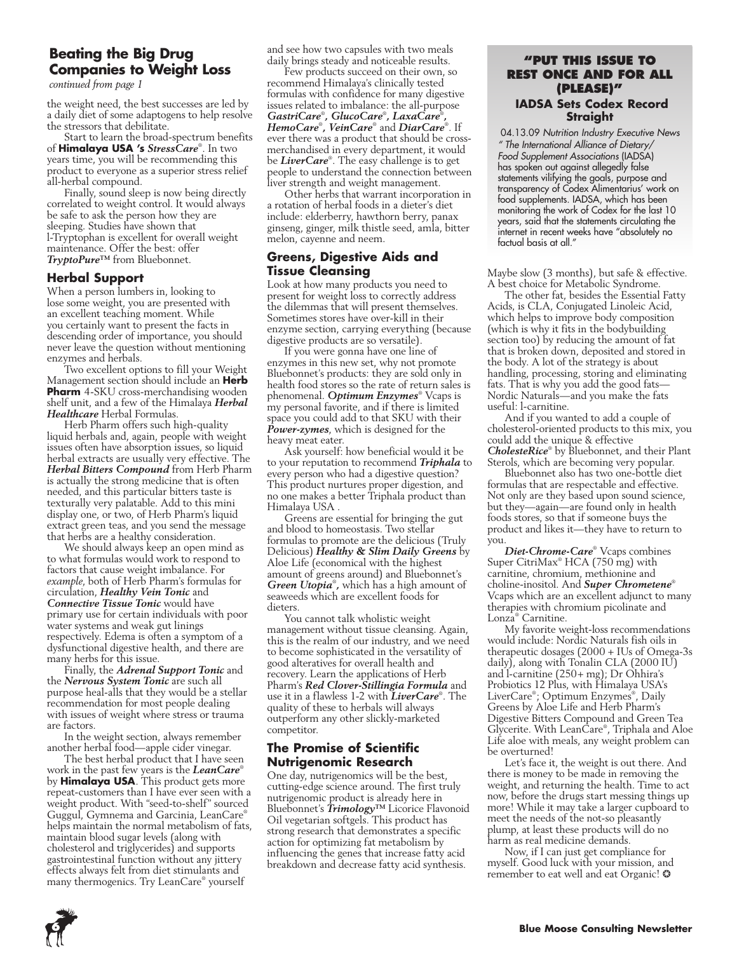### **Beating the Big Drug Companies to Weight Loss**

*continued from page 1*

the weight need, the best successes are led by a daily diet of some adaptogens to help resolve the stressors that debilitate.

Start to learn the broad-spectrum benefits of **Himalaya USA 's** *StressCare*® . In two years time, you will be recommending this product to everyone as a superior stress relief all-herbal compound.

Finally, sound sleep is now being directly correlated to weight control. It would always be safe to ask the person how they are sleeping. Studies have shown that l-Tryptophan is excellent for overall weight maintenance. Offer the best: offer *TryptoPure™* from Bluebonnet.

#### **Herbal Support**

When a person lumbers in, looking to lose some weight, you are presented with an excellent teaching moment. While you certainly want to present the facts in descending order of importance, you should never leave the question without mentioning enzymes and herbals.

Two excellent options to fill your Weight Management section should include an **Herb Pharm** 4-SKU cross-merchandising wooden shelf unit, and a few of the Himalaya *Herbal Healthcare* Herbal Formulas.

Herb Pharm offers such high-quality liquid herbals and, again, people with weight issues often have absorption issues, so liquid herbal extracts are usually very effective. The *Herbal Bitters Compound* from Herb Pharm is actually the strong medicine that is often needed, and this particular bitters taste is texturally very palatable. Add to this mini display one, or two, of Herb Pharm's liquid extract green teas, and you send the message that herbs are a healthy consideration.

We should always keep an open mind as to what formulas would work to respond to factors that cause weight imbalance. For *example*, both of Herb Pharm's formulas for circulation, *Healthy Vein Tonic* and *Connective Tissue Tonic* would have primary use for certain individuals with poor water systems and weak gut linings respectively. Edema is often a symptom of a dysfunctional digestive health, and there are many herbs for this issue.

Finally, the *Adrenal Support Tonic* and the *Nervous System Tonic* are such all purpose heal-alls that they would be a stellar recommendation for most people dealing with issues of weight where stress or trauma are factors.

In the weight section, always remember another herbal food—apple cider vinegar.

The best herbal product that I have seen work in the past few years is the *LeanCare*® by **Himalaya USA**. This product gets more repeat-customers than I have ever seen with a weight product. With "seed-to-shelf" sourced Guggul, Gymnema and Garcinia, LeanCare® helps maintain the normal metabolism of fats, maintain blood sugar levels (along with cholesterol and triglycerides) and supports gastrointestinal function without any jittery effects always felt from diet stimulants and many thermogenics. Try LeanCare® yourself

and see how two capsules with two meals daily brings steady and noticeable results.

Few products succeed on their own, so recommend Himalaya's clinically tested formulas with confidence for many digestive issues related to imbalance: the all-purpose *GastriCare*® *, GlucoCare*® *, LaxaCare*® *, HemoCare*® *, VeinCare*® and *DiarCare*® . If ever there was a product that should be crossmerchandised in every department, it would be *LiverCare*® . The easy challenge is to get people to understand the connection between liver strength and weight management.

Other herbs that warrant incorporation in a rotation of herbal foods in a dieter's diet include: elderberry, hawthorn berry, panax ginseng, ginger, milk thistle seed, amla, bitter melon, cayenne and neem.

#### **Greens, Digestive Aids and Tissue Cleansing**

Look at how many products you need to present for weight loss to correctly address the dilemmas that will present themselves. Sometimes stores have over-kill in their enzyme section, carrying everything (because digestive products are so versatile).

If you were gonna have one line of enzymes in this new set, why not promote Bluebonnet's products: they are sold only in health food stores so the rate of return sales is phenomenal. *Optimum Enzymes*® Vcaps is my personal favorite, and if there is limited space you could add to that SKU with their *Power-zymes*, which is designed for the heavy meat eater.

Ask yourself: how beneficial would it be to your reputation to recommend *Triphala* to every person who had a digestive question? This product nurtures proper digestion, and no one makes a better Triphala product than Himalaya USA .

Greens are essential for bringing the gut and blood to homeostasis. Two stellar formulas to promote are the delicious (Truly Delicious) *Healthy & Slim Daily Greens* by Aloe Life (economical with the highest amount of greens around) and Bluebonnet's *Green Utopia*® *,* which has a high amount of seaweeds which are excellent foods for dieters.

You cannot talk wholistic weight management without tissue cleansing. Again, this is the realm of our industry, and we need to become sophisticated in the versatility of good alteratives for overall health and recovery. Learn the applications of Herb Pharm's *Red Clover-Stillingia Formula* and use it in a flawless 1-2 with *LiverCare*® . The quality of these to herbals will always outperform any other slickly-marketed competitor.

#### **The Promise of Scientific Nutrigenomic Research**

One day, nutrigenomics will be the best, cutting-edge science around. The first truly nutrigenomic product is already here in Bluebonnet's *Trimology™* Licorice Flavonoid Oil vegetarian softgels. This product has strong research that demonstrates a specific action for optimizing fat metabolism by influencing the genes that increase fatty acid breakdown and decrease fatty acid synthesis.

#### **"Put this issue to rest once and for all (please)" IADSA Sets Codex Record Straight**

 04.13.09 *Nutrition Industry Executive News " The International Alliance of Dietary/ Food Supplement Associations* (IADSA) has spoken out against allegedly false statements vilifying the goals, purpose and transparency of Codex Alimentarius' work on food supplements. IADSA, which has been monitoring the work of Codex for the last 10 years, said that the statements circulating the internet in recent weeks have "absolutely no factual basis at all."

Maybe slow (3 months), but safe & effective. A best choice for Metabolic Syndrome.

The other fat, besides the Essential Fatty Acids, is CLA, Conjugated Linoleic Acid, which helps to improve body composition (which is why it fits in the bodybuilding section too) by reducing the amount of fat that is broken down, deposited and stored in the body. A lot of the strategy is about handling, processing, storing and eliminating fats. That is why you add the good fats— Nordic Naturals—and you make the fats useful: l-carnitine.

And if you wanted to add a couple of cholesterol-oriented products to this mix, you could add the unique & effective *CholesteRice*® by Bluebonnet, and their Plant Sterols, which are becoming very popular.

Bluebonnet also has two one-bottle diet formulas that are respectable and effective. Not only are they based upon sound science, but they—again—are found only in health foods stores, so that if someone buys the product and likes it—they have to return to you.

*Diet-Chrome-Care*® Vcaps combines Super CitriMax® HCA (750 mg) with carnitine, chromium, methionine and choline-inositol. And *Super Chrometene*® Vcaps which are an excellent adjunct to many therapies with chromium picolinate and Lonza® Carnitine.

My favorite weight-loss recommendations would include: Nordic Naturals fish oils in therapeutic dosages (2000 + IUs of Omega-3s daily), along with Tonalin CLA (2000 IU) and l-carnitine (250+ mg); Dr Ohhira's Probiotics 12 Plus, with Himalaya USA's LiverCare® ; Optimum Enzymes® , Daily Greens by Aloe Life and Herb Pharm's Digestive Bitters Compound and Green Tea Glycerite. With LeanCare® , Triphala and Aloe Life aloe with meals, any weight problem can be overturned!

Let's face it, the weight is out there. And there is money to be made in removing the weight, and returning the health. Time to act now, before the drugs start messing things up more! While it may take a larger cupboard to meet the needs of the not-so pleasantly plump, at least these products will do no harm as real medicine demands.

Now, if I can just get compliance for myself. Good luck with your mission, and remember to eat well and eat Organic! ❂

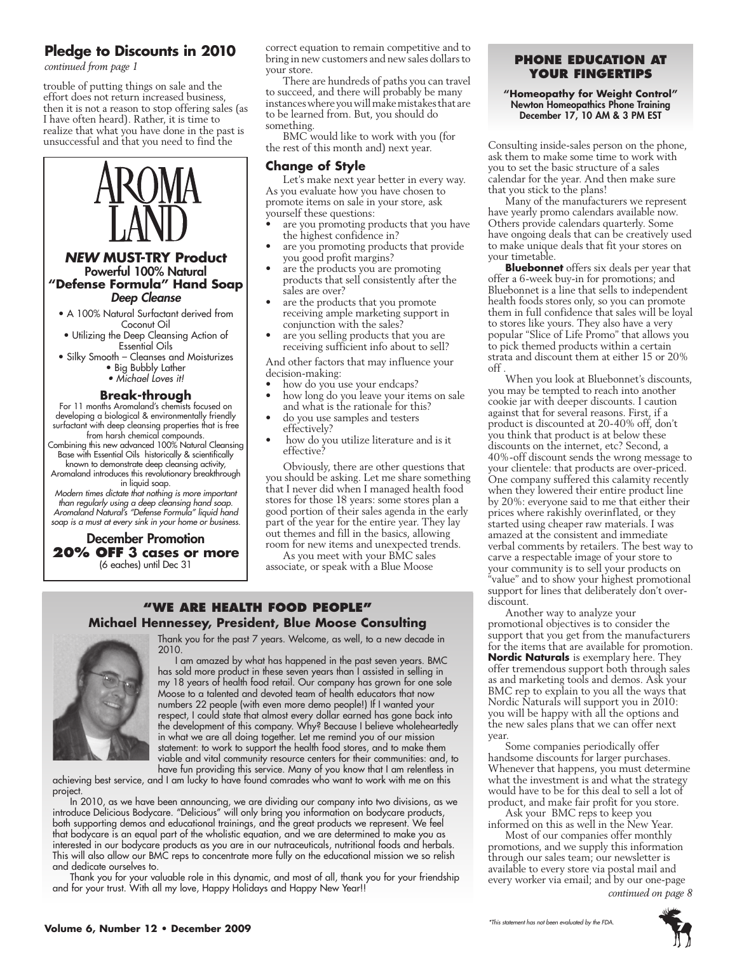## **Pledge to Discounts in 2010**

*continued from page 1*

trouble of putting things on sale and the effort does not return increased business, then it is not a reason to stop offering sales (as I have often heard). Rather, it is time to realize that what you have done in the past is unsuccessful and that you need to find the



#### *NEW* **MUST-TRY Product** Powerful 100% Natural **"Defense Formula" Hand Soap** *Deep Cleanse*

• A 100% Natural Surfactant derived from Coconut Oil

- Utilizing the Deep Cleansing Action of Essential Oils
- Silky Smooth Cleanses and Moisturizes • Big Bubbly Lather
	- *Michael Loves it!*

#### **Break-through**

For 11 months Aromaland's chemists focused on developing a biological & environmentally friendly surfactant with deep cleansing properties that is free from harsh chemical compounds.

- Combining this new advanced 100% Natural Cleansing Base with Essential Oils historically & scientifically
- known to demonstrate deep cleansing activity,

Aromaland introduces this revolutionary breakthrough in liquid soap.

*Modern times dictate that nothing is more important than regularly using a deep cleansing hand soap. Aromaland Natural's "Defense Formula" liquid hand soap is a must at every sink in your home or business.*

#### December Promotion **20% off 3 cases or more** (6 eaches) until Dec 31

correct equation to remain competitive and to bring in new customers and new sales dollars to your store.

There are hundreds of paths you can travel to succeed, and there will probably be many instances where you will make mistakes that are to be learned from. But, you should do something.

BMC would like to work with you (for the rest of this month and) next year.

#### **Change of Style**

Let's make next year better in every way. As you evaluate how you have chosen to promote items on sale in your store, ask yourself these questions:

- are you promoting products that you have the highest confidence in?
- are you promoting products that provide you good profit margins?
- are the products you are promoting products that sell consistently after the sales are over?
- are the products that you promote receiving ample marketing support in conjunction with the sales?
- are you selling products that you are receiving sufficient info about to sell?

And other factors that may influence your decision-making:

- how do you use your endcaps?
- how long do you leave your items on sale and what is the rationale for this?
- do you use samples and testers effectively?
- how do you utilize literature and is it effective?

Obviously, there are other questions that you should be asking. Let me share something that I never did when I managed health food stores for those 18 years: some stores plan a good portion of their sales agenda in the early part of the year for the entire year. They lay out themes and fill in the basics, allowing room for new items and unexpected trends.

As you meet with your BMC sales associate, or speak with a Blue Moose

#### **"We Are health food people" Michael Hennessey, President, Blue Moose Consulting**



Thank you for the past 7 years. Welcome, as well, to a new decade in 2010.

I am amazed by what has happened in the past seven years. BMC has sold more product in these seven years than I assisted in selling in my 18 years of health food retail. Our company has grown for one sole Moose to a talented and devoted team of health educators that now numbers 22 people (with even more demo people!) If I wanted your respect, I could state that almost every dollar earned has gone back into the development of this company. Why? Because I believe wholeheartedly in what we are all doing together. Let me remind you of our mission statement: to work to support the health food stores, and to make them viable and vital community resource centers for their communities: and, to have fun providing this service. Many of you know that I am relentless in

achieving best service, and I am lucky to have found comrades who want to work with me on this project.

In 2010, as we have been announcing, we are dividing our company into two divisions, as we introduce Delicious Bodycare. "Delicious" will only bring you information on bodycare products, both supporting demos and educational trainings, and the great products we represent. We feel that bodycare is an equal part of the wholistic equation, and we are determined to make you as interested in our bodycare products as you are in our nutraceuticals, nutritional foods and herbals. This will also allow our BMC reps to concentrate more fully on the educational mission we so relish and dedicate ourselves to.

Thank you for your valuable role in this dynamic, and most of all, thank you for your friendship and for your trust. With all my love, Happy Holidays and Happy New Year!!

#### **phone education at your fingertips**

#### **"Homeopathy for Weight Control"** Newton Homeopathics Phone Training December 17, 10 AM & 3 PM EST

Consulting inside-sales person on the phone, ask them to make some time to work with you to set the basic structure of a sales calendar for the year. And then make sure that you stick to the plans!

Many of the manufacturers we represent have yearly promo calendars available now. Others provide calendars quarterly. Some have ongoing deals that can be creatively used to make unique deals that fit your stores on your timetable.

**Bluebonnet** offers six deals per year that offer a 6-week buy-in for promotions; and Bluebonnet is a line that sells to independent health foods stores only, so you can promote them in full confidence that sales will be loyal to stores like yours. They also have a very popular "Slice of Life Promo" that allows you to pick themed products within a certain strata and discount them at either 15 or 20% off .

When you look at Bluebonnet's discounts, you may be tempted to reach into another cookie jar with deeper discounts. I caution against that for several reasons. First, if a product is discounted at 20-40% off, don't you think that product is at below these discounts on the internet, etc? Second, a 40%-off discount sends the wrong message to your clientele: that products are over-priced. One company suffered this calamity recently when they lowered their entire product line by 20%: everyone said to me that either their prices where rakishly overinflated, or they started using cheaper raw materials. I was amazed at the consistent and immediate verbal comments by retailers. The best way to carve a respectable image of your store to your community is to sell your products on "value" and to show your highest promotional support for lines that deliberately don't overdiscount.

Another way to analyze your promotional objectives is to consider the support that you get from the manufacturers for the items that are available for promotion. **Nordic Naturals** is exemplary here. They offer tremendous support both through sales as and marketing tools and demos. Ask your BMC rep to explain to you all the ways that Nordic Naturals will support you in 2010: you will be happy with all the options and the new sales plans that we can offer next year.

Some companies periodically offer handsome discounts for larger purchases. Whenever that happens, you must determine what the investment is and what the strategy would have to be for this deal to sell a lot of product, and make fair profit for you store.

Ask your BMC reps to keep you informed on this as well in the New Year.

Most of our companies offer monthly promotions, and we supply this information through our sales team; our newsletter is available to every store via postal mail and every worker via email; and by our one-page *continued on page 8*